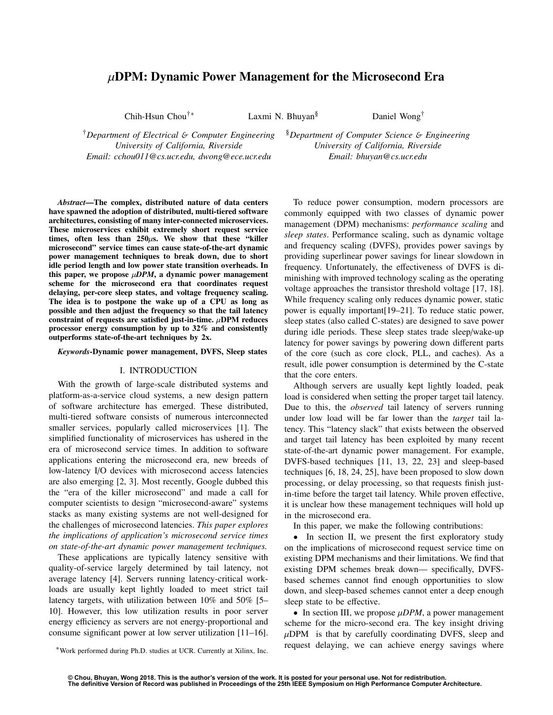# $\mu$ DPM: Dynamic Power Management for the Microsecond Era

Chih-Hsun Chou<sup>†</sup>\* Laxmi N. Bhuyan<sup>§</sup> Daniel Wong<sup>†</sup>

†*Department of Electrical* & *Computer Engineering University of California, Riverside Email: cchou011@cs.ucr.edu, dwong@ece.ucr.edu*

§*Department of Computer Science* & *Engineering University of California, Riverside Email: bhuyan@cs.ucr.edu*

*Abstract*—The complex, distributed nature of data centers have spawned the adoption of distributed, multi-tiered software architectures, consisting of many inter-connected microservices. These microservices exhibit extremely short request service times, often less than  $250\mu s$ . We show that these "killer microsecond" service times can cause state-of-the-art dynamic power management techniques to break down, due to short idle period length and low power state transition overheads. In this paper, we propose  $\mu$ *DPM*, a dynamic power management scheme for the microsecond era that coordinates request delaying, per-core sleep states, and voltage frequency scaling. The idea is to postpone the wake up of a CPU as long as possible and then adjust the frequency so that the tail latency constraint of requests are satisfied just-in-time.  $\mu$ DPM reduces processor energy consumption by up to 32% and consistently outperforms state-of-the-art techniques by 2x.

*Keywords*-Dynamic power management, DVFS, Sleep states

#### I. INTRODUCTION

With the growth of large-scale distributed systems and platform-as-a-service cloud systems, a new design pattern of software architecture has emerged. These distributed, multi-tiered software consists of numerous interconnected smaller services, popularly called microservices [1]. The simplified functionality of microservices has ushered in the era of microsecond service times. In addition to software applications entering the microsecond era, new breeds of low-latency I/O devices with microsecond access latencies are also emerging [2, 3]. Most recently, Google dubbed this the "era of the killer microsecond" and made a call for computer scientists to design "microsecond-aware" systems stacks as many existing systems are not well-designed for the challenges of microsecond latencies. *This paper explores the implications of application's microsecond service times on state-of-the-art dynamic power management techniques.*

These applications are typically latency sensitive with quality-of-service largely determined by tail latency, not average latency [4]. Servers running latency-critical workloads are usually kept lightly loaded to meet strict tail latency targets, with utilization between 10% and 50% [5– 10]. However, this low utilization results in poor server energy efficiency as servers are not energy-proportional and consume significant power at low server utilization [11–16].

⇤Work performed during Ph.D. studies at UCR. Currently at Xilinx, Inc.

To reduce power consumption, modern processors are commonly equipped with two classes of dynamic power management (DPM) mechanisms: *performance scaling* and *sleep states*. Performance scaling, such as dynamic voltage and frequency scaling (DVFS), provides power savings by providing superlinear power savings for linear slowdown in frequency. Unfortunately, the effectiveness of DVFS is diminishing with improved technology scaling as the operating voltage approaches the transistor threshold voltage [17, 18]. While frequency scaling only reduces dynamic power, static power is equally important[19–21]. To reduce static power, sleep states (also called C-states) are designed to save power during idle periods. These sleep states trade sleep/wake-up latency for power savings by powering down different parts of the core (such as core clock, PLL, and caches). As a result, idle power consumption is determined by the C-state that the core enters.

Although servers are usually kept lightly loaded, peak load is considered when setting the proper target tail latency. Due to this, the *observed* tail latency of servers running under low load will be far lower than the *target* tail latency. This "latency slack" that exists between the observed and target tail latency has been exploited by many recent state-of-the-art dynamic power management. For example, DVFS-based techniques [11, 13, 22, 23] and sleep-based techniques [6, 18, 24, 25], have been proposed to slow down processing, or delay processing, so that requests finish justin-time before the target tail latency. While proven effective, it is unclear how these management techniques will hold up in the microsecond era.

In this paper, we make the following contributions:

• In section II, we present the first exploratory study on the implications of microsecond request service time on existing DPM mechanisms and their limitations. We find that existing DPM schemes break down— specifically, DVFSbased schemes cannot find enough opportunities to slow down, and sleep-based schemes cannot enter a deep enough sleep state to be effective.

• In section III, we propose  $\mu$ *DPM*, a power management scheme for the micro-second era. The key insight driving  $\mu$ DPM is that by carefully coordinating DVFS, sleep and request delaying, we can achieve energy savings where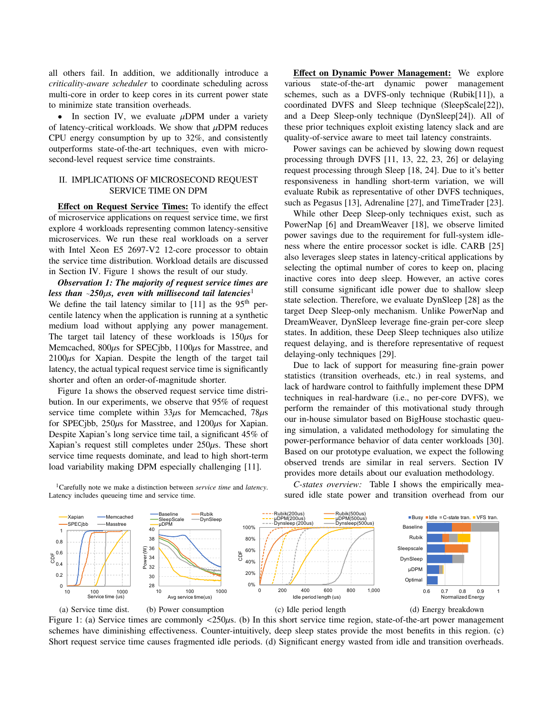all others fail. In addition, we additionally introduce a *criticality-aware scheduler* to coordinate scheduling across multi-core in order to keep cores in its current power state to minimize state transition overheads.

• In section IV, we evaluate  $\mu$ DPM under a variety of latency-critical workloads. We show that  $\mu$ DPM reduces CPU energy consumption by up to 32%, and consistently outperforms state-of-the-art techniques, even with microsecond-level request service time constraints.

## II. IMPLICATIONS OF MICROSECOND REQUEST SERVICE TIME ON DPM

Effect on Request Service Times: To identify the effect of microservice applications on request service time, we first explore 4 workloads representing common latency-sensitive microservices. We run these real workloads on a server with Intel Xeon E5 2697-V2 12-core processor to obtain the service time distribution. Workload details are discussed in Section IV. Figure 1 shows the result of our study.

*Observation 1: The majority of request service times are less than*  $\sim$ 250 $\mu$ *s, even with millisecond tail latencies*<sup>1</sup> We define the tail latency similar to  $[11]$  as the 95<sup>th</sup> percentile latency when the application is running at a synthetic medium load without applying any power management. The target tail latency of these workloads is  $150\mu s$  for Memcached,  $800\mu s$  for SPECjbb,  $1100\mu s$  for Masstree, and  $2100\mu s$  for Xapian. Despite the length of the target tail latency, the actual typical request service time is significantly shorter and often an order-of-magnitude shorter.

Figure 1a shows the observed request service time distribution. In our experiments, we observe that 95% of request service time complete within  $33\mu s$  for Memcached,  $78\mu s$ for SPECjbb,  $250\mu s$  for Masstree, and  $1200\mu s$  for Xapian. Despite Xapian's long service time tail, a significant 45% of Xapian's request still completes under  $250\mu s$ . These short service time requests dominate, and lead to high short-term load variability making DPM especially challenging [11].

1Carefully note we make a distinction between *service time* and *latency*. Latency includes queueing time and service time.

Effect on Dynamic Power Management: We explore various state-of-the-art dynamic power management schemes, such as a DVFS-only technique (Rubik[11]), a coordinated DVFS and Sleep technique (SleepScale[22]), and a Deep Sleep-only technique (DynSleep[24]). All of these prior techniques exploit existing latency slack and are quality-of-service aware to meet tail latency constraints.

Power savings can be achieved by slowing down request processing through DVFS [11, 13, 22, 23, 26] or delaying request processing through Sleep [18, 24]. Due to it's better responsiveness in handling short-term variation, we will evaluate Rubik as representative of other DVFS techniques, such as Pegasus [13], Adrenaline [27], and TimeTrader [23].

While other Deep Sleep-only techniques exist, such as PowerNap [6] and DreamWeaver [18], we observe limited power savings due to the requirement for full-system idleness where the entire processor socket is idle. CARB [25] also leverages sleep states in latency-critical applications by selecting the optimal number of cores to keep on, placing inactive cores into deep sleep. However, an active cores still consume significant idle power due to shallow sleep state selection. Therefore, we evaluate DynSleep [28] as the target Deep Sleep-only mechanism. Unlike PowerNap and DreamWeaver, DynSleep leverage fine-grain per-core sleep states. In addition, these Deep Sleep techniques also utilize request delaying, and is therefore representative of request delaying-only techniques [29].

Due to lack of support for measuring fine-grain power statistics (transition overheads, etc.) in real systems, and lack of hardware control to faithfully implement these DPM techniques in real-hardware (i.e., no per-core DVFS), we perform the remainder of this motivational study through our in-house simulator based on BigHouse stochastic queuing simulation, a validated methodology for simulating the power-performance behavior of data center workloads [30]. Based on our prototype evaluation, we expect the following observed trends are similar in real servers. Section IV provides more details about our evaluation methodology.

*C-states overview:* Table I shows the empirically measured idle state power and transition overhead from our



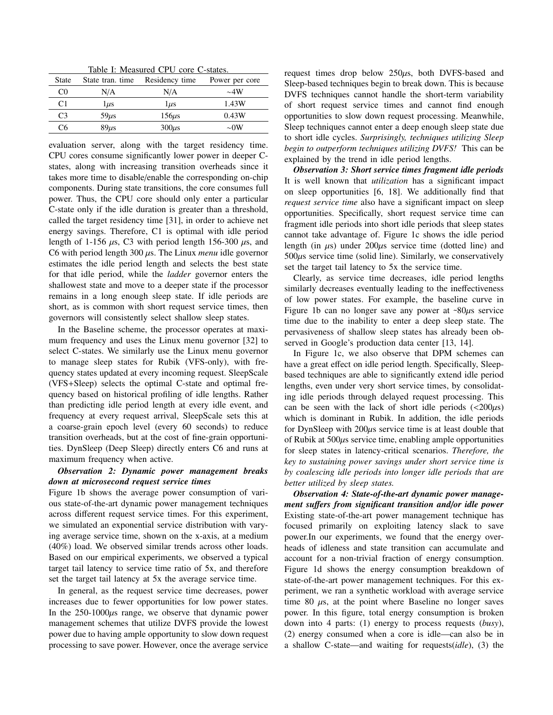Table I: Measured CPU core C-states.

| State          | State tran, time | Residency time | Power per core |
|----------------|------------------|----------------|----------------|
| CO.            | N/A              | N/A            | $\sim$ 4W      |
| C              | lμs              | $\mu s$        | 1.43W          |
| C <sub>3</sub> | $59\mu s$        | $156\mu s$     | 0.43W          |
| С6             | $89\mu s$        | $300\mu s$     | $\sim$ 0W      |

evaluation server, along with the target residency time. CPU cores consume significantly lower power in deeper Cstates, along with increasing transition overheads since it takes more time to disable/enable the corresponding on-chip components. During state transitions, the core consumes full power. Thus, the CPU core should only enter a particular C-state only if the idle duration is greater than a threshold, called the target residency time [31], in order to achieve net energy savings. Therefore, C1 is optimal with idle period length of 1-156  $\mu$ s, C3 with period length 156-300  $\mu$ s, and C6 with period length  $300 \mu s$ . The Linux *menu* idle governor estimates the idle period length and selects the best state for that idle period, while the *ladder* governor enters the shallowest state and move to a deeper state if the processor remains in a long enough sleep state. If idle periods are short, as is common with short request service times, then governors will consistently select shallow sleep states.

In the Baseline scheme, the processor operates at maximum frequency and uses the Linux menu governor [32] to select C-states. We similarly use the Linux menu governor to manage sleep states for Rubik (VFS-only), with frequency states updated at every incoming request. SleepScale (VFS+Sleep) selects the optimal C-state and optimal frequency based on historical profiling of idle lengths. Rather than predicting idle period length at every idle event, and frequency at every request arrival, SleepScale sets this at a coarse-grain epoch level (every 60 seconds) to reduce transition overheads, but at the cost of fine-grain opportunities. DynSleep (Deep Sleep) directly enters C6 and runs at maximum frequency when active.

## *Observation 2: Dynamic power management breaks down at microsecond request service times*

Figure 1b shows the average power consumption of various state-of-the-art dynamic power management techniques across different request service times. For this experiment, we simulated an exponential service distribution with varying average service time, shown on the x-axis, at a medium (40%) load. We observed similar trends across other loads. Based on our empirical experiments, we observed a typical target tail latency to service time ratio of 5x, and therefore set the target tail latency at 5x the average service time.

In general, as the request service time decreases, power increases due to fewer opportunities for low power states. In the  $250-1000\mu s$  range, we observe that dynamic power management schemes that utilize DVFS provide the lowest power due to having ample opportunity to slow down request processing to save power. However, once the average service request times drop below  $250\mu s$ , both DVFS-based and Sleep-based techniques begin to break down. This is because DVFS techniques cannot handle the short-term variability of short request service times and cannot find enough opportunities to slow down request processing. Meanwhile, Sleep techniques cannot enter a deep enough sleep state due to short idle cycles. *Surprisingly, techniques utilizing Sleep begin to outperform techniques utilizing DVFS!* This can be explained by the trend in idle period lengths.

*Observation 3: Short service times fragment idle periods* It is well known that *utilization* has a significant impact on sleep opportunities [6, 18]. We additionally find that *request service time* also have a significant impact on sleep opportunities. Specifically, short request service time can fragment idle periods into short idle periods that sleep states cannot take advantage of. Figure 1c shows the idle period length (in  $\mu$ s) under 200 $\mu$ s service time (dotted line) and  $500\mu s$  service time (solid line). Similarly, we conservatively set the target tail latency to 5x the service time.

Clearly, as service time decreases, idle period lengths similarly decreases eventually leading to the ineffectiveness of low power states. For example, the baseline curve in Figure 1b can no longer save any power at  $\sim 80 \mu s$  service time due to the inability to enter a deep sleep state. The pervasiveness of shallow sleep states has already been observed in Google's production data center [13, 14].

In Figure 1c, we also observe that DPM schemes can have a great effect on idle period length. Specifically, Sleepbased techniques are able to significantly extend idle period lengths, even under very short service times, by consolidating idle periods through delayed request processing. This can be seen with the lack of short idle periods  $\langle \langle 200 \mu s \rangle$ which is dominant in Rubik. In addition, the idle periods for DynSleep with  $200\mu s$  service time is at least double that of Rubik at  $500\mu s$  service time, enabling ample opportunities for sleep states in latency-critical scenarios. *Therefore, the key to sustaining power savings under short service time is by coalescing idle periods into longer idle periods that are better utilized by sleep states.*

*Observation 4: State-of-the-art dynamic power management suffers from significant transition and/or idle power* Existing state-of-the-art power management technique has focused primarily on exploiting latency slack to save power.In our experiments, we found that the energy overheads of idleness and state transition can accumulate and account for a non-trivial fraction of energy consumption. Figure 1d shows the energy consumption breakdown of state-of-the-art power management techniques. For this experiment, we ran a synthetic workload with average service time 80  $\mu$ s, at the point where Baseline no longer saves power. In this figure, total energy consumption is broken down into 4 parts: (1) energy to process requests (*busy*), (2) energy consumed when a core is idle—can also be in a shallow C-state—and waiting for requests(*idle*), (3) the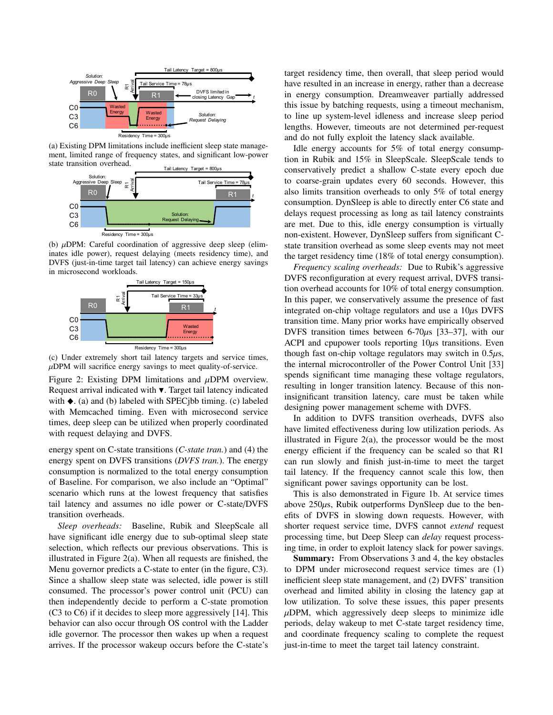

(a) Existing DPM limitations include inefficient sleep state management, limited range of frequency states, and significant low-power state transition overhead.



(b)  $\mu$ DPM: Careful coordination of aggressive deep sleep (eliminates idle power), request delaying (meets residency time), and DVFS (just-in-time target tail latency) can achieve energy savings in microsecond workloads.



(c) Under extremely short tail latency targets and service times,  $\mu$ DPM will sacrifice energy savings to meet quality-of-service.

Figure 2: Existing DPM limitations and  $\mu$ DPM overview. Request arrival indicated with  $\nabla$ . Target tail latency indicated with  $\blacklozenge$ . (a) and (b) labeled with SPECjbb timing. (c) labeled with Memcached timing. Even with microsecond service times, deep sleep can be utilized when properly coordinated with request delaying and DVFS.

energy spent on C-state transitions (*C-state tran.*) and (4) the energy spent on DVFS transitions (*DVFS tran.*). The energy consumption is normalized to the total energy consumption of Baseline. For comparison, we also include an "Optimal" scenario which runs at the lowest frequency that satisfies tail latency and assumes no idle power or C-state/DVFS transition overheads.

*Sleep overheads:* Baseline, Rubik and SleepScale all have significant idle energy due to sub-optimal sleep state selection, which reflects our previous observations. This is illustrated in Figure 2(a). When all requests are finished, the Menu governor predicts a C-state to enter (in the figure, C3). Since a shallow sleep state was selected, idle power is still consumed. The processor's power control unit (PCU) can then independently decide to perform a C-state promotion (C3 to C6) if it decides to sleep more aggressively [14]. This behavior can also occur through OS control with the Ladder idle governor. The processor then wakes up when a request arrives. If the processor wakeup occurs before the C-state's target residency time, then overall, that sleep period would have resulted in an increase in energy, rather than a decrease in energy consumption. Dreamweaver partially addressed this issue by batching requests, using a timeout mechanism, to line up system-level idleness and increase sleep period lengths. However, timeouts are not determined per-request and do not fully exploit the latency slack available.

Idle energy accounts for 5% of total energy consumption in Rubik and 15% in SleepScale. SleepScale tends to conservatively predict a shallow C-state every epoch due to coarse-grain updates every 60 seconds. However, this also limits transition overheads to only 5% of total energy consumption. DynSleep is able to directly enter C6 state and delays request processing as long as tail latency constraints are met. Due to this, idle energy consumption is virtually non-existent. However, DynSleep suffers from significant Cstate transition overhead as some sleep events may not meet the target residency time (18% of total energy consumption).

*Frequency scaling overheads:* Due to Rubik's aggressive DVFS reconfiguration at every request arrival, DVFS transition overhead accounts for 10% of total energy consumption. In this paper, we conservatively assume the presence of fast integrated on-chip voltage regulators and use a  $10\mu s$  DVFS transition time. Many prior works have empirically observed DVFS transition times between  $6-70\mu s$  [33-37], with our ACPI and cpupower tools reporting  $10\mu s$  transitions. Even though fast on-chip voltage regulators may switch in  $0.5\mu s$ , the internal microcontroller of the Power Control Unit [33] spends significant time managing these voltage regulators, resulting in longer transition latency. Because of this noninsignificant transition latency, care must be taken while designing power management scheme with DVFS.

In addition to DVFS transition overheads, DVFS also have limited effectiveness during low utilization periods. As illustrated in Figure 2(a), the processor would be the most energy efficient if the frequency can be scaled so that R1 can run slowly and finish just-in-time to meet the target tail latency. If the frequency cannot scale this low, then significant power savings opportunity can be lost.

This is also demonstrated in Figure 1b. At service times above  $250\mu s$ , Rubik outperforms DynSleep due to the benefits of DVFS in slowing down requests. However, with shorter request service time, DVFS cannot *extend* request processing time, but Deep Sleep can *delay* request processing time, in order to exploit latency slack for power savings.

Summary: From Observations 3 and 4, the key obstacles to DPM under microsecond request service times are (1) inefficient sleep state management, and (2) DVFS' transition overhead and limited ability in closing the latency gap at low utilization. To solve these issues, this paper presents  $\mu$ DPM, which aggressively deep sleeps to minimize idle periods, delay wakeup to met C-state target residency time, and coordinate frequency scaling to complete the request just-in-time to meet the target tail latency constraint.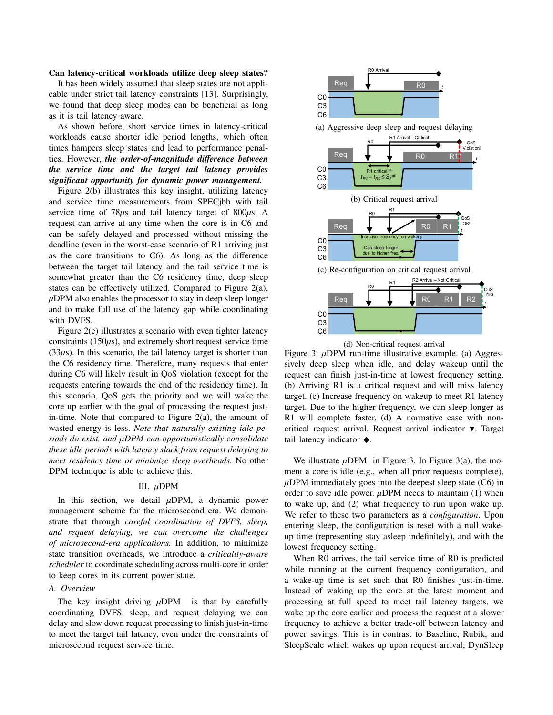#### Can latency-critical workloads utilize deep sleep states?

It has been widely assumed that sleep states are not applicable under strict tail latency constraints [13]. Surprisingly, we found that deep sleep modes can be beneficial as long as it is tail latency aware.

As shown before, short service times in latency-critical workloads cause shorter idle period lengths, which often times hampers sleep states and lead to performance penalties. However, *the order-of-magnitude difference between the service time and the target tail latency provides significant opportunity for dynamic power management.*

Figure 2(b) illustrates this key insight, utilizing latency and service time measurements from SPECjbb with tail service time of  $78\mu s$  and tail latency target of  $800\mu s$ . A request can arrive at any time when the core is in C6 and can be safely delayed and processed without missing the deadline (even in the worst-case scenario of R1 arriving just as the core transitions to  $C6$ ). As long as the difference between the target tail latency and the tail service time is somewhat greater than the C6 residency time, deep sleep states can be effectively utilized. Compared to Figure 2(a),  $\mu$ DPM also enables the processor to stay in deep sleep longer and to make full use of the latency gap while coordinating with DVFS.

Figure 2(c) illustrates a scenario with even tighter latency constraints  $(150\mu s)$ , and extremely short request service time  $(33\mu s)$ . In this scenario, the tail latency target is shorter than the C6 residency time. Therefore, many requests that enter during C6 will likely result in QoS violation (except for the requests entering towards the end of the residency time). In this scenario, QoS gets the priority and we will wake the core up earlier with the goal of processing the request justin-time. Note that compared to Figure 2(a), the amount of wasted energy is less. *Note that naturally existing idle periods do exist, and* µ*DPM can opportunistically consolidate these idle periods with latency slack from request delaying to meet residency time or minimize sleep overheads.* No other DPM technique is able to achieve this.

### III.  $\mu$ DPM

In this section, we detail  $\mu$ DPM, a dynamic power management scheme for the microsecond era. We demonstrate that through *careful coordination of DVFS, sleep, and request delaying, we can overcome the challenges of microsecond-era applications.* In addition, to minimize state transition overheads, we introduce a *criticality-aware scheduler* to coordinate scheduling across multi-core in order to keep cores in its current power state.

#### *A. Overview*

The key insight driving  $\mu$ DPM is that by carefully coordinating DVFS, sleep, and request delaying we can delay and slow down request processing to finish just-in-time to meet the target tail latency, even under the constraints of microsecond request service time.





Figure 3:  $\mu$ DPM run-time illustrative example. (a) Aggressively deep sleep when idle, and delay wakeup until the request can finish just-in-time at lowest frequency setting. (b) Arriving R1 is a critical request and will miss latency target. (c) Increase frequency on wakeup to meet R1 latency target. Due to the higher frequency, we can sleep longer as R1 will complete faster. (d) A normative case with noncritical request arrival. Request arrival indicator  $\blacktriangledown$ . Target tail latency indicator  $\blacklozenge$ .

We illustrate  $\mu$ DPM in Figure 3. In Figure 3(a), the moment a core is idle (e.g., when all prior requests complete),  $\mu$ DPM immediately goes into the deepest sleep state (C6) in order to save idle power.  $\mu$ DPM needs to maintain (1) when to wake up, and (2) what frequency to run upon wake up. We refer to these two parameters as a *configuration*. Upon entering sleep, the configuration is reset with a null wakeup time (representing stay asleep indefinitely), and with the lowest frequency setting.

When R0 arrives, the tail service time of R0 is predicted while running at the current frequency configuration, and a wake-up time is set such that R0 finishes just-in-time. Instead of waking up the core at the latest moment and processing at full speed to meet tail latency targets, we wake up the core earlier and process the request at a slower frequency to achieve a better trade-off between latency and power savings. This is in contrast to Baseline, Rubik, and SleepScale which wakes up upon request arrival; DynSleep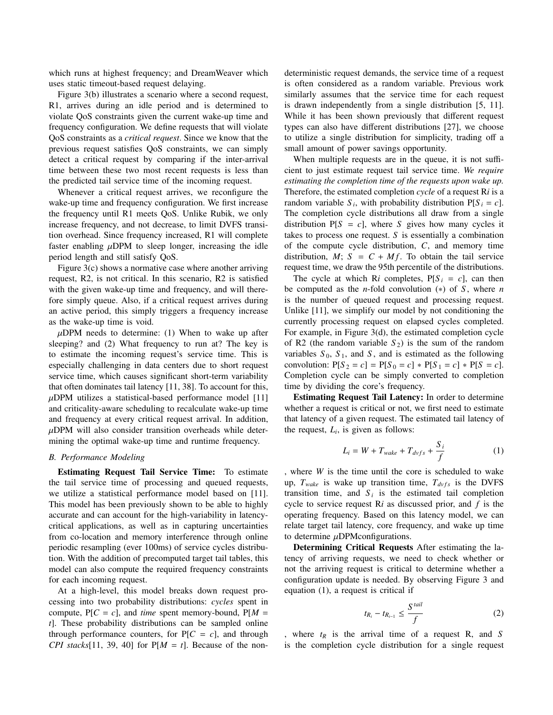which runs at highest frequency; and DreamWeaver which uses static timeout-based request delaying.

Figure 3(b) illustrates a scenario where a second request, R1, arrives during an idle period and is determined to violate QoS constraints given the current wake-up time and frequency configuration. We define requests that will violate QoS constraints as a *critical request*. Since we know that the previous request satisfies QoS constraints, we can simply detect a critical request by comparing if the inter-arrival time between these two most recent requests is less than the predicted tail service time of the incoming request.

Whenever a critical request arrives, we reconfigure the wake-up time and frequency configuration. We first increase the frequency until R1 meets QoS. Unlike Rubik, we only increase frequency, and not decrease, to limit DVFS transition overhead. Since frequency increased, R1 will complete faster enabling  $\mu$ DPM to sleep longer, increasing the idle period length and still satisfy QoS.

Figure 3(c) shows a normative case where another arriving request, R2, is not critical. In this scenario, R2 is satisfied with the given wake-up time and frequency, and will therefore simply queue. Also, if a critical request arrives during an active period, this simply triggers a frequency increase as the wake-up time is void.

 $\mu$ DPM needs to determine: (1) When to wake up after sleeping? and (2) What frequency to run at? The key is to estimate the incoming request's service time. This is especially challenging in data centers due to short request service time, which causes significant short-term variability that often dominates tail latency [11, 38]. To account for this,  $\mu$ DPM utilizes a statistical-based performance model [11] and criticality-aware scheduling to recalculate wake-up time and frequency at every critical request arrival. In addition,  $\mu$ DPM will also consider transition overheads while determining the optimal wake-up time and runtime frequency.

## *B. Performance Modeling*

Estimating Request Tail Service Time: To estimate the tail service time of processing and queued requests, we utilize a statistical performance model based on [11]. This model has been previously shown to be able to highly accurate and can account for the high-variability in latencycritical applications, as well as in capturing uncertainties from co-location and memory interference through online periodic resampling (ever 100ms) of service cycles distribution. With the addition of precomputed target tail tables, this model can also compute the required frequency constraints for each incoming request.

At a high-level, this model breaks down request processing into two probability distributions: *cycles* spent in compute,  $P[C = c]$ , and *time* spent memory-bound,  $P[M = c]$ *t*]. These probability distributions can be sampled online through performance counters, for  $P[C = c]$ , and through *CPI stacks*[11, 39, 40] for  $P[M = t]$ . Because of the nondeterministic request demands, the service time of a request is often considered as a random variable. Previous work similarly assumes that the service time for each request is drawn independently from a single distribution [5, 11]. While it has been shown previously that different request types can also have different distributions [27], we choose to utilize a single distribution for simplicity, trading off a small amount of power savings opportunity.

When multiple requests are in the queue, it is not sufficient to just estimate request tail service time. *We require estimating the completion time of the requests upon wake up.* Therefore, the estimated completion *cycle* of a request R*i* is a random variable  $S_i$ , with probability distribution  $P[S_i = c]$ . The completion cycle distributions all draw from a single distribution  $P[S = c]$ , where *S* gives how many cycles it takes to process one request. *S* is essentially a combination of the compute cycle distribution, *C*, and memory time distribution,  $M$ ;  $S = C + Mf$ . To obtain the tail service request time, we draw the 95th percentile of the distributions.

The cycle at which R*i* completes,  $P[S_i = c]$ , can then be computed as the *n*-fold convolution  $(*)$  of *S*, where *n* is the number of queued request and processing request. Unlike [11], we simplify our model by not conditioning the currently processing request on elapsed cycles completed. For example, in Figure 3(d), the estimated completion cycle of R2 (the random variable  $S_2$ ) is the sum of the random variables  $S_0$ ,  $S_1$ , and  $S$ , and is estimated as the following convolution:  $P[S_2 = c] = P[S_0 = c] * P[S_1 = c] * P[S = c]$ . Completion cycle can be simply converted to completion time by dividing the core's frequency.

Estimating Request Tail Latency: In order to determine whether a request is critical or not, we first need to estimate that latency of a given request. The estimated tail latency of the request,  $L_i$ , is given as follows:

$$
L_i = W + T_{\text{wake}} + T_{\text{dvfs}} + \frac{S_i}{f}
$$
 (1)

, where *W* is the time until the core is scheduled to wake up,  $T_{\text{wake}}$  is wake up transition time,  $T_{\text{dvfs}}$  is the DVFS transition time, and  $S_i$  is the estimated tail completion cycle to service request R*i* as discussed prior, and *f* is the operating frequency. Based on this latency model, we can relate target tail latency, core frequency, and wake up time to determine  $\mu$ DPMconfigurations.

Determining Critical Requests After estimating the latency of arriving requests, we need to check whether or not the arriving request is critical to determine whether a configuration update is needed. By observing Figure 3 and equation (1), a request is critical if

$$
t_{R_i} - t_{R_{i-1}} \le \frac{S^{tail}}{f}
$$
 (2)

, where  $t_R$  is the arrival time of a request R, and *S* is the completion cycle distribution for a single request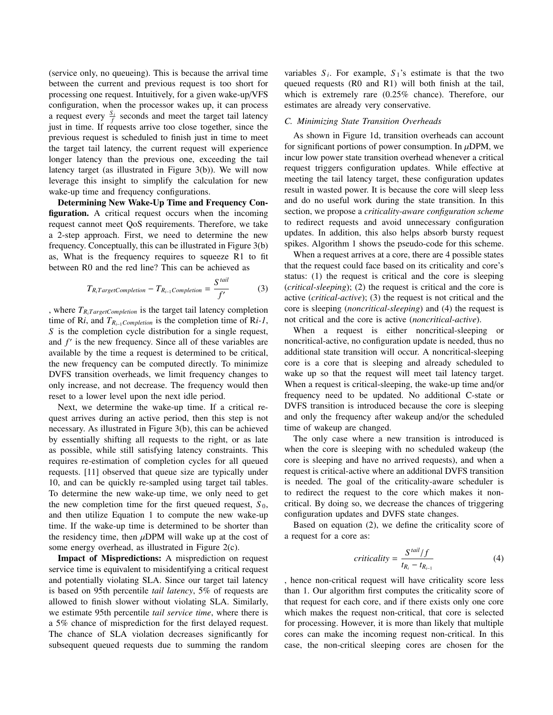(service only, no queueing). This is because the arrival time between the current and previous request is too short for processing one request. Intuitively, for a given wake-up/VFS configuration, when the processor wakes up, it can process a request every  $\frac{S_i}{f}$  seconds and meet the target tail latency just in time. If requests arrive too close together, since the previous request is scheduled to finish just in time to meet the target tail latency, the current request will experience longer latency than the previous one, exceeding the tail latency target (as illustrated in Figure 3(b)). We will now leverage this insight to simplify the calculation for new wake-up time and frequency configurations.

Determining New Wake-Up Time and Frequency Configuration. A critical request occurs when the incoming request cannot meet QoS requirements. Therefore, we take a 2-step approach. First, we need to determine the new frequency. Conceptually, this can be illustrated in Figure 3(b) as, What is the frequency requires to squeeze R1 to fit between R0 and the red line? This can be achieved as

$$
T_{R_iTargetCompletion} - T_{R_{i-1}Completion} = \frac{S^{\,tail}}{f'} \tag{3}
$$

, where  $T_{R_iTargetCompletion}$  is the target tail latency completion time of R*i*, and  $T_{R_{i-1}Completion}$  is the completion time of R*i-1*, *S* is the completion cycle distribution for a single request, and  $f'$  is the new frequency. Since all of these variables are available by the time a request is determined to be critical, the new frequency can be computed directly. To minimize DVFS transition overheads, we limit frequency changes to only increase, and not decrease. The frequency would then reset to a lower level upon the next idle period.

Next, we determine the wake-up time. If a critical request arrives during an active period, then this step is not necessary. As illustrated in Figure 3(b), this can be achieved by essentially shifting all requests to the right, or as late as possible, while still satisfying latency constraints. This requires re-estimation of completion cycles for all queued requests. [11] observed that queue size are typically under 10, and can be quickly re-sampled using target tail tables. To determine the new wake-up time, we only need to get the new completion time for the first queued request,  $S_0$ , and then utilize Equation 1 to compute the new wake-up time. If the wake-up time is determined to be shorter than the residency time, then  $\mu$ DPM will wake up at the cost of some energy overhead, as illustrated in Figure 2(c).

Impact of Mispredictions: A misprediction on request service time is equivalent to misidentifying a critical request and potentially violating SLA. Since our target tail latency is based on 95th percentile *tail latency*, 5% of requests are allowed to finish slower without violating SLA. Similarly, we estimate 95th percentile *tail service time*, where there is a 5% chance of misprediction for the first delayed request. The chance of SLA violation decreases significantly for subsequent queued requests due to summing the random variables  $S_i$ . For example,  $S_i$ 's estimate is that the two queued requests (R0 and R1) will both finish at the tail, which is extremely rare (0.25% chance). Therefore, our estimates are already very conservative.

### *C. Minimizing State Transition Overheads*

As shown in Figure 1d, transition overheads can account for significant portions of power consumption. In  $\mu$ DPM, we incur low power state transition overhead whenever a critical request triggers configuration updates. While effective at meeting the tail latency target, these configuration updates result in wasted power. It is because the core will sleep less and do no useful work during the state transition. In this section, we propose a *criticality-aware configuration scheme* to redirect requests and avoid unnecessary configuration updates. In addition, this also helps absorb bursty request spikes. Algorithm 1 shows the pseudo-code for this scheme.

When a request arrives at a core, there are 4 possible states that the request could face based on its criticality and core's status: (1) the request is critical and the core is sleeping (*critical-sleeping*); (2) the request is critical and the core is active (*critical-active*); (3) the request is not critical and the core is sleeping (*noncritical-sleeping*) and (4) the request is not critical and the core is active (*noncritical-active*).

When a request is either noncritical-sleeping or noncritical-active, no configuration update is needed, thus no additional state transition will occur. A noncritical-sleeping core is a core that is sleeping and already scheduled to wake up so that the request will meet tail latency target. When a request is critical-sleeping, the wake-up time and/or frequency need to be updated. No additional C-state or DVFS transition is introduced because the core is sleeping and only the frequency after wakeup and/or the scheduled time of wakeup are changed.

The only case where a new transition is introduced is when the core is sleeping with no scheduled wakeup (the core is sleeping and have no arrived requests), and when a request is critical-active where an additional DVFS transition is needed. The goal of the criticality-aware scheduler is to redirect the request to the core which makes it noncritical. By doing so, we decrease the chances of triggering configuration updates and DVFS state changes.

Based on equation (2), we define the criticality score of a request for a core as:

$$
criticality = \frac{S^{tail}/f}{t_{R_i} - t_{R_{i-1}}}
$$
(4)

, hence non-critical request will have criticality score less than 1. Our algorithm first computes the criticality score of that request for each core, and if there exists only one core which makes the request non-critical, that core is selected for processing. However, it is more than likely that multiple cores can make the incoming request non-critical. In this case, the non-critical sleeping cores are chosen for the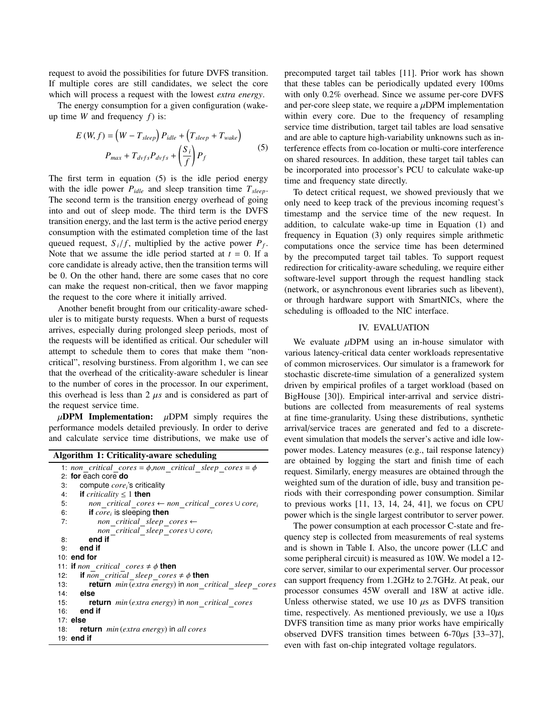request to avoid the possibilities for future DVFS transition. If multiple cores are still candidates, we select the core which will process a request with the lowest *extra energy*.

The energy consumption for a given configuration (wakeup time *W* and frequency *f*) is:

$$
E(W, f) = (W - T_{sleep}) P_{idle} + (T_{sleep} + T_{wake})
$$
  

$$
P_{max} + T_{dvf s} P_{dvf s} + \left(\frac{S_i}{f}\right) P_f
$$
 (5)

The first term in equation (5) is the idle period energy with the idle power  $P_{idle}$  and sleep transition time  $T_{sleep}$ . The second term is the transition energy overhead of going into and out of sleep mode. The third term is the DVFS transition energy, and the last term is the active period energy consumption with the estimated completion time of the last queued request,  $S_i/f$ , multiplied by the active power  $P_f$ . Note that we assume the idle period started at  $t = 0$ . If a core candidate is already active, then the transition terms will be 0. On the other hand, there are some cases that no core can make the request non-critical, then we favor mapping the request to the core where it initially arrived.

Another benefit brought from our criticality-aware scheduler is to mitigate bursty requests. When a burst of requests arrives, especially during prolonged sleep periods, most of the requests will be identified as critical. Our scheduler will attempt to schedule them to cores that make them "noncritical", resolving burstiness. From algorithm 1, we can see that the overhead of the criticality-aware scheduler is linear to the number of cores in the processor. In our experiment, this overhead is less than  $2 \mu s$  and is considered as part of the request service time.

 $\mu$ DPM Implementation:  $\mu$ DPM simply requires the performance models detailed previously. In order to derive and calculate service time distributions, we make use of

| Algorithm 1: Criticality-aware scheduling                                         |  |  |  |  |
|-----------------------------------------------------------------------------------|--|--|--|--|
| 1: non critical cores = $\phi$ , non critical sleep cores = $\phi$                |  |  |  |  |
| 2: for each core do                                                               |  |  |  |  |
| compute $corei$ 's criticality<br>3:                                              |  |  |  |  |
| <b>if</b> criticality $\leq 1$ <b>then</b><br>4:                                  |  |  |  |  |
| 5:<br>non critical cores $\leftarrow$ non critical cores $\cup$ core <sub>i</sub> |  |  |  |  |
| if $core_i$ is sleeping then<br>6:                                                |  |  |  |  |
| non critical sleep cores $\leftarrow$<br>7:                                       |  |  |  |  |
| non critical sleep cores $\cup$ core <sub>i</sub>                                 |  |  |  |  |
| end if<br>8:                                                                      |  |  |  |  |
| end if<br>g.                                                                      |  |  |  |  |
| 10: end for                                                                       |  |  |  |  |
| 11: <b>if</b> non critical cores $\neq \phi$ then                                 |  |  |  |  |
| <b>if</b> non critical sleep cores $\neq \phi$ then<br>12:                        |  |  |  |  |
| return min (extra energy) in non critical sleep cores<br>13:                      |  |  |  |  |
| $14:$ else                                                                        |  |  |  |  |
| 15:<br><b>return</b> min(extra energy) in non critical cores                      |  |  |  |  |
| $16:$ end if                                                                      |  |  |  |  |
| $17:$ else                                                                        |  |  |  |  |
| <b>return</b> <i>min</i> ( <i>extra energy</i> ) in all cores<br>18:              |  |  |  |  |
| $19:$ end if                                                                      |  |  |  |  |

precomputed target tail tables [11]. Prior work has shown that these tables can be periodically updated every 100ms with only 0.2% overhead. Since we assume per-core DVFS and per-core sleep state, we require a  $\mu$ DPM implementation within every core. Due to the frequency of resampling service time distribution, target tail tables are load sensative and are able to capture high-variability unknowns such as interference effects from co-location or multi-core interference on shared resources. In addition, these target tail tables can be incorporated into processor's PCU to calculate wake-up time and frequency state directly.

To detect critical request, we showed previously that we only need to keep track of the previous incoming request's timestamp and the service time of the new request. In addition, to calculate wake-up time in Equation (1) and frequency in Equation (3) only requires simple arithmetic computations once the service time has been determined by the precomputed target tail tables. To support request redirection for criticality-aware scheduling, we require either software-level support through the request handling stack (network, or asynchronous event libraries such as libevent), or through hardware support with SmartNICs, where the scheduling is offloaded to the NIC interface.

# IV. EVALUATION

We evaluate  $\mu$ DPM using an in-house simulator with various latency-critical data center workloads representative of common microservices. Our simulator is a framework for stochastic discrete-time simulation of a generalized system driven by empirical profiles of a target workload (based on BigHouse [30]). Empirical inter-arrival and service distributions are collected from measurements of real systems at fine time-granularity. Using these distributions, synthetic arrival/service traces are generated and fed to a discreteevent simulation that models the server's active and idle lowpower modes. Latency measures (e.g., tail response latency) are obtained by logging the start and finish time of each request. Similarly, energy measures are obtained through the weighted sum of the duration of idle, busy and transition periods with their corresponding power consumption. Similar to previous works [11, 13, 14, 24, 41], we focus on CPU power which is the single largest contributor to server power.

The power consumption at each processor C-state and frequency step is collected from measurements of real systems and is shown in Table I. Also, the uncore power (LLC and some peripheral circuit) is measured as 10W. We model a 12 core server, similar to our experimental server. Our processor can support frequency from 1.2GHz to 2.7GHz. At peak, our processor consumes 45W overall and 18W at active idle. Unless otherwise stated, we use  $10 \mu s$  as DVFS transition time, respectively. As mentioned previously, we use a  $10\mu s$ DVFS transition time as many prior works have empirically observed DVFS transition times between  $6-70\mu s$  [33-37], even with fast on-chip integrated voltage regulators.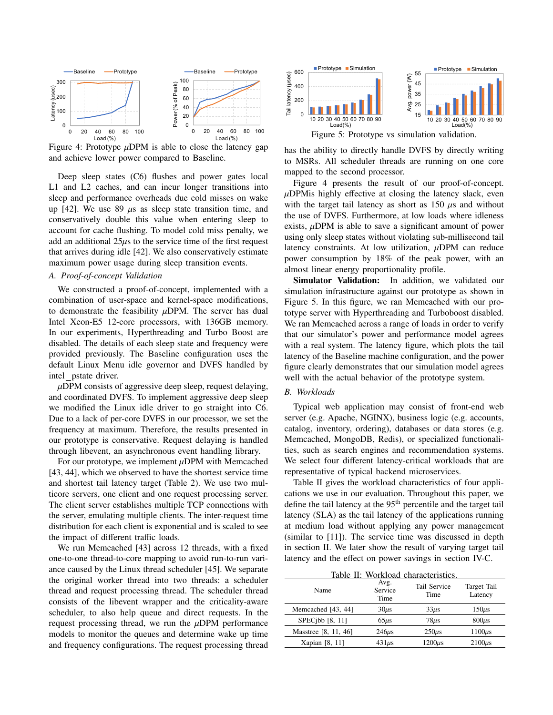

Figure 4: Prototype  $\mu$ DPM is able to close the latency gap and achieve lower power compared to Baseline.

Deep sleep states (C6) flushes and power gates local L1 and L2 caches, and can incur longer transitions into sleep and performance overheads due cold misses on wake up [42]. We use 89  $\mu$ s as sleep state transition time, and conservatively double this value when entering sleep to account for cache flushing. To model cold miss penalty, we add an additional  $25\mu s$  to the service time of the first request that arrives during idle [42]. We also conservatively estimate maximum power usage during sleep transition events.

#### *A. Proof-of-concept Validation*

We constructed a proof-of-concept, implemented with a combination of user-space and kernel-space modifications, to demonstrate the feasibility  $\mu$ DPM. The server has dual Intel Xeon-E5 12-core processors, with 136GB memory. In our experiments, Hyperthreading and Turbo Boost are disabled. The details of each sleep state and frequency were provided previously. The Baseline configuration uses the default Linux Menu idle governor and DVFS handled by intel pstate driver.

 $\mu$ DPM consists of aggressive deep sleep, request delaying, and coordinated DVFS. To implement aggressive deep sleep we modified the Linux idle driver to go straight into C6. Due to a lack of per-core DVFS in our processor, we set the frequency at maximum. Therefore, the results presented in our prototype is conservative. Request delaying is handled through libevent, an asynchronous event handling library.

For our prototype, we implement  $\mu$ DPM with Memcached [43, 44], which we observed to have the shortest service time and shortest tail latency target (Table 2). We use two multicore servers, one client and one request processing server. The client server establishes multiple TCP connections with the server, emulating multiple clients. The inter-request time distribution for each client is exponential and is scaled to see the impact of different traffic loads.

We run Memcached [43] across 12 threads, with a fixed one-to-one thread-to-core mapping to avoid run-to-run variance caused by the Linux thread scheduler [45]. We separate the original worker thread into two threads: a scheduler thread and request processing thread. The scheduler thread consists of the libevent wrapper and the criticality-aware scheduler, to also help queue and direct requests. In the request processing thread, we run the  $\mu$ DPM performance models to monitor the queues and determine wake up time and frequency configurations. The request processing thread



has the ability to directly handle DVFS by directly writing to MSRs. All scheduler threads are running on one core mapped to the second processor.

Figure 4 presents the result of our proof-of-concept.  $\mu$ DPMis highly effective at closing the latency slack, even with the target tail latency as short as  $150 \mu s$  and without the use of DVFS. Furthermore, at low loads where idleness exists,  $\mu$ DPM is able to save a significant amount of power using only sleep states without violating sub-millisecond tail latency constraints. At low utilization,  $\mu$ DPM can reduce power consumption by 18% of the peak power, with an almost linear energy proportionality profile.

Simulator Validation: In addition, we validated our simulation infrastructure against our prototype as shown in Figure 5. In this figure, we ran Memcached with our prototype server with Hyperthreading and Turboboost disabled. We ran Memcached across a range of loads in order to verify that our simulator's power and performance model agrees with a real system. The latency figure, which plots the tail latency of the Baseline machine configuration, and the power figure clearly demonstrates that our simulation model agrees well with the actual behavior of the prototype system.

#### *B. Workloads*

Typical web application may consist of front-end web server (e.g. Apache, NGINX), business logic (e.g. accounts, catalog, inventory, ordering), databases or data stores (e.g. Memcached, MongoDB, Redis), or specialized functionalities, such as search engines and recommendation systems. We select four different latency-critical workloads that are representative of typical backend microservices.

Table II gives the workload characteristics of four applications we use in our evaluation. Throughout this paper, we define the tail latency at the 95<sup>th</sup> percentile and the target tail latency (SLA) as the tail latency of the applications running at medium load without applying any power management (similar to [11]). The service time was discussed in depth in section II. We later show the result of varying target tail latency and the effect on power savings in section IV-C.

|  | Table II: Workload characteristics. |
|--|-------------------------------------|
|  |                                     |

| Name                 | Avg.<br>Service<br>Time | <b>Tail Service</b><br>Time | Target Tail<br>Latency |
|----------------------|-------------------------|-----------------------------|------------------------|
| Memcached [43, 44]   | $30\mu s$               | $33\mu s$                   | $150\mu s$             |
| SPEC $ibb$ [8, 11]   | $65\mu s$               | $78\mu s$                   | $800\mu s$             |
| Masstree [8, 11, 46] | $246\mu s$              | $250\mu s$                  | $1100\mu s$            |
| Xapian [8, 11]       | $431\mu s$              | $1200\mu s$                 | $2100\mu s$            |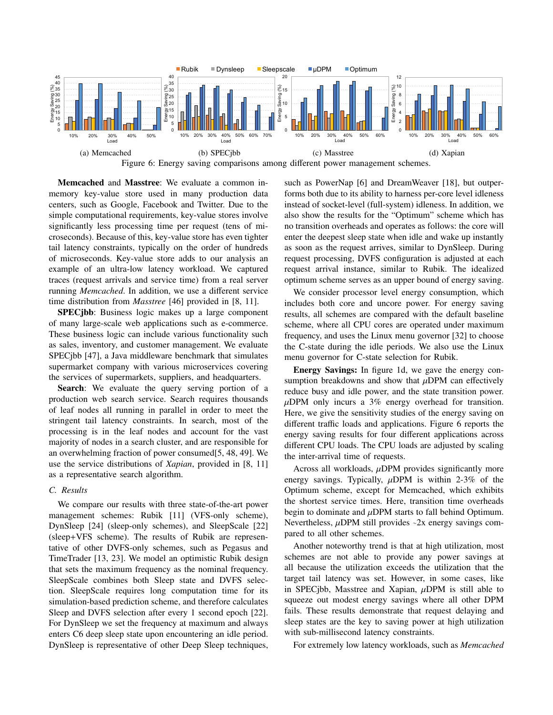

Memcached and Masstree: We evaluate a common inmemory key-value store used in many production data centers, such as Google, Facebook and Twitter. Due to the simple computational requirements, key-value stores involve significantly less processing time per request (tens of microseconds). Because of this, key-value store has even tighter tail latency constraints, typically on the order of hundreds of microseconds. Key-value store adds to our analysis an example of an ultra-low latency workload. We captured traces (request arrivals and service time) from a real server running *Memcached*. In addition, we use a different service time distribution from *Masstree* [46] provided in [8, 11].

SPECjbb: Business logic makes up a large component of many large-scale web applications such as e-commerce. These business logic can include various functionality such as sales, inventory, and customer management. We evaluate SPECjbb [47], a Java middleware benchmark that simulates supermarket company with various microservices covering the services of supermarkets, suppliers, and headquarters.

Search: We evaluate the query serving portion of a production web search service. Search requires thousands of leaf nodes all running in parallel in order to meet the stringent tail latency constraints. In search, most of the processing is in the leaf nodes and account for the vast majority of nodes in a search cluster, and are responsible for an overwhelming fraction of power consumed[5, 48, 49]. We use the service distributions of *Xapian*, provided in [8, 11] as a representative search algorithm.

#### *C. Results*

We compare our results with three state-of-the-art power management schemes: Rubik [11] (VFS-only scheme), DynSleep [24] (sleep-only schemes), and SleepScale [22] (sleep+VFS scheme). The results of Rubik are representative of other DVFS-only schemes, such as Pegasus and TimeTrader [13, 23]. We model an optimistic Rubik design that sets the maximum frequency as the nominal frequency. SleepScale combines both Sleep state and DVFS selection. SleepScale requires long computation time for its simulation-based prediction scheme, and therefore calculates Sleep and DVFS selection after every 1 second epoch [22]. For DynSleep we set the frequency at maximum and always enters C6 deep sleep state upon encountering an idle period. DynSleep is representative of other Deep Sleep techniques, such as PowerNap [6] and DreamWeaver [18], but outperforms both due to its ability to harness per-core level idleness instead of socket-level (full-system) idleness. In addition, we also show the results for the "Optimum" scheme which has no transition overheads and operates as follows: the core will enter the deepest sleep state when idle and wake up instantly as soon as the request arrives, similar to DynSleep. During request processing, DVFS configuration is adjusted at each request arrival instance, similar to Rubik. The idealized optimum scheme serves as an upper bound of energy saving.

We consider processor level energy consumption, which includes both core and uncore power. For energy saving results, all schemes are compared with the default baseline scheme, where all CPU cores are operated under maximum frequency, and uses the Linux menu governor [32] to choose the C-state during the idle periods. We also use the Linux menu governor for C-state selection for Rubik.

Energy Savings: In figure 1d, we gave the energy consumption breakdowns and show that  $\mu$ DPM can effectively reduce busy and idle power, and the state transition power.  $\mu$ DPM only incurs a 3% energy overhead for transition. Here, we give the sensitivity studies of the energy saving on different traffic loads and applications. Figure 6 reports the energy saving results for four different applications across different CPU loads. The CPU loads are adjusted by scaling the inter-arrival time of requests.

Across all workloads,  $\mu$ DPM provides significantly more energy savings. Typically,  $\mu$ DPM is within 2-3% of the Optimum scheme, except for Memcached, which exhibits the shortest service times. Here, transition time overheads begin to dominate and  $\mu$ DPM starts to fall behind Optimum. Nevertheless,  $\mu$ DPM still provides  $\sim$ 2x energy savings compared to all other schemes.

Another noteworthy trend is that at high utilization, most schemes are not able to provide any power savings at all because the utilization exceeds the utilization that the target tail latency was set. However, in some cases, like in SPECjbb, Masstree and Xapian,  $\mu$ DPM is still able to squeeze out modest energy savings where all other DPM fails. These results demonstrate that request delaying and sleep states are the key to saving power at high utilization with sub-millisecond latency constraints.

For extremely low latency workloads, such as *Memcached*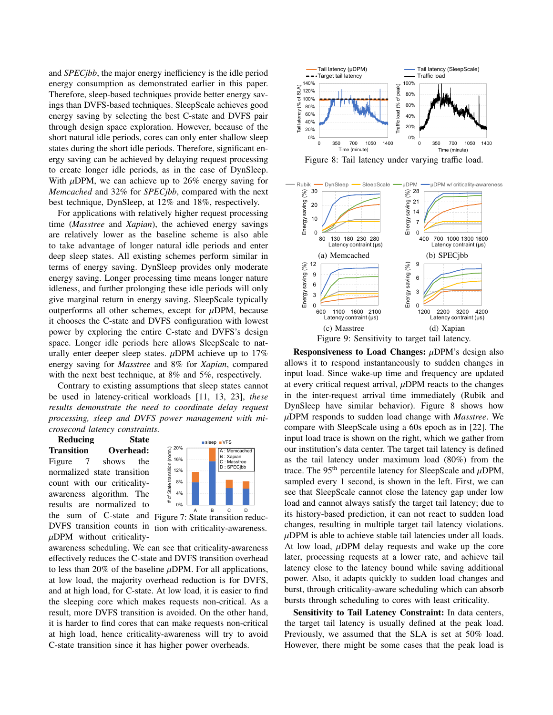and *SPECjbb*, the major energy inefficiency is the idle period energy consumption as demonstrated earlier in this paper. Therefore, sleep-based techniques provide better energy savings than DVFS-based techniques. SleepScale achieves good energy saving by selecting the best C-state and DVFS pair through design space exploration. However, because of the short natural idle periods, cores can only enter shallow sleep states during the short idle periods. Therefore, significant energy saving can be achieved by delaying request processing to create longer idle periods, as in the case of DynSleep. With  $\mu$ DPM, we can achieve up to 26% energy saving for *Memcached* and 32% for *SPECjbb*, compared with the next best technique, DynSleep, at 12% and 18%, respectively.

For applications with relatively higher request processing time (*Masstree* and *Xapian*), the achieved energy savings are relatively lower as the baseline scheme is also able to take advantage of longer natural idle periods and enter deep sleep states. All existing schemes perform similar in terms of energy saving. DynSleep provides only moderate energy saving. Longer processing time means longer nature idleness, and further prolonging these idle periods will only give marginal return in energy saving. SleepScale typically outperforms all other schemes, except for  $\mu$ DPM, because it chooses the C-state and DVFS configuration with lowest power by exploring the entire C-state and DVFS's design space. Longer idle periods here allows SleepScale to naturally enter deeper sleep states.  $\mu$ DPM achieve up to 17% energy saving for *Masstree* and 8% for *Xapian*, compared with the next best technique, at 8% and 5%, respectively.

Contrary to existing assumptions that sleep states cannot be used in latency-critical workloads [11, 13, 23], *these results demonstrate the need to coordinate delay request processing, sleep and DVFS power management with microsecond latency constraints.*

Reducing State Transition Overhead: Figure 7 shows the normalized state transition count with our criticalityawareness algorithm. The results are normalized to the sum of C-state and DVFS transition counts in  $\mu$ DPM without criticality-



Figure 7: State transition reduction with criticality-awareness.

awareness scheduling. We can see that criticality-awareness effectively reduces the C-state and DVFS transition overhead to less than 20% of the baseline  $\mu$ DPM. For all applications, at low load, the majority overhead reduction is for DVFS, and at high load, for C-state. At low load, it is easier to find the sleeping core which makes requests non-critical. As a result, more DVFS transition is avoided. On the other hand, it is harder to find cores that can make requests non-critical at high load, hence criticality-awareness will try to avoid C-state transition since it has higher power overheads.



Figure 8: Tail latency under varying traffic load.



Responsiveness to Load Changes:  $\mu$ DPM's design also allows it to respond instantaneously to sudden changes in input load. Since wake-up time and frequency are updated at every critical request arrival,  $\mu$ DPM reacts to the changes in the inter-request arrival time immediately (Rubik and DynSleep have similar behavior). Figure 8 shows how µDPM responds to sudden load change with *Masstree*. We compare with SleepScale using a 60s epoch as in [22]. The input load trace is shown on the right, which we gather from our institution's data center. The target tail latency is defined as the tail latency under maximum load (80%) from the trace. The 95<sup>th</sup> percentile latency for SleepScale and  $\mu$ DPM, sampled every 1 second, is shown in the left. First, we can see that SleepScale cannot close the latency gap under low load and cannot always satisfy the target tail latency; due to its history-based prediction, it can not react to sudden load changes, resulting in multiple target tail latency violations.  $\mu$ DPM is able to achieve stable tail latencies under all loads. At low load,  $\mu$ DPM delay requests and wake up the core later, processing requests at a lower rate, and achieve tail latency close to the latency bound while saving additional power. Also, it adapts quickly to sudden load changes and burst, through criticality-aware scheduling which can absorb bursts through scheduling to cores with least criticality.

Sensitivity to Tail Latency Constraint: In data centers, the target tail latency is usually defined at the peak load. Previously, we assumed that the SLA is set at 50% load. However, there might be some cases that the peak load is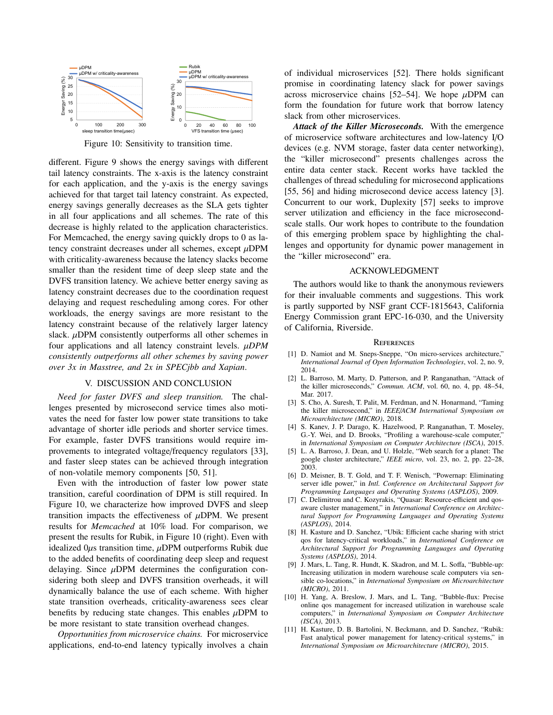

Figure 10: Sensitivity to transition time.

different. Figure 9 shows the energy savings with different tail latency constraints. The x-axis is the latency constraint for each application, and the y-axis is the energy savings achieved for that target tail latency constraint. As expected, energy savings generally decreases as the SLA gets tighter in all four applications and all schemes. The rate of this decrease is highly related to the application characteristics. For Memcached, the energy saving quickly drops to 0 as latency constraint decreases under all schemes, except  $\mu$ DPM with criticality-awareness because the latency slacks become smaller than the resident time of deep sleep state and the DVFS transition latency. We achieve better energy saving as latency constraint decreases due to the coordination request delaying and request rescheduling among cores. For other workloads, the energy savings are more resistant to the latency constraint because of the relatively larger latency slack.  $\mu$ DPM consistently outperforms all other schemes in four applications and all latency constraint levels. µ*DPM consistently outperforms all other schemes by saving power over 3x in Masstree, and 2x in SPECjbb and Xapian*.

#### V. DISCUSSION AND CONCLUSION

*Need for faster DVFS and sleep transition.* The challenges presented by microsecond service times also motivates the need for faster low power state transitions to take advantage of shorter idle periods and shorter service times. For example, faster DVFS transitions would require improvements to integrated voltage/frequency regulators [33], and faster sleep states can be achieved through integration of non-volatile memory components [50, 51].

Even with the introduction of faster low power state transition, careful coordination of DPM is still required. In Figure 10, we characterize how improved DVFS and sleep transition impacts the effectiveness of  $\mu$ DPM. We present results for *Memcached* at 10% load. For comparison, we present the results for Rubik, in Figure 10 (right). Even with idealized  $0\mu s$  transition time,  $\mu$ DPM outperforms Rubik due to the added benefits of coordinating deep sleep and request delaying. Since  $\mu$ DPM determines the configuration considering both sleep and DVFS transition overheads, it will dynamically balance the use of each scheme. With higher state transition overheads, criticality-awareness sees clear benefits by reducing state changes. This enables  $\mu$ DPM to be more resistant to state transition overhead changes.

*Opportunities from microservice chains.* For microservice applications, end-to-end latency typically involves a chain of individual microservices [52]. There holds significant promise in coordinating latency slack for power savings across microservice chains [52–54]. We hope  $\mu$ DPM can form the foundation for future work that borrow latency slack from other microservices.

*Attack of the Killer Microseconds.* With the emergence of microservice software architectures and low-latency I/O devices (e.g. NVM storage, faster data center networking), the "killer microsecond" presents challenges across the entire data center stack. Recent works have tackled the challenges of thread scheduling for microsecond applications [55, 56] and hiding microsecond device access latency [3]. Concurrent to our work, Duplexity [57] seeks to improve server utilization and efficiency in the face microsecondscale stalls. Our work hopes to contribute to the foundation of this emerging problem space by highlighting the challenges and opportunity for dynamic power management in the "killer microsecond" era.

#### ACKNOWLEDGMENT

The authors would like to thank the anonymous reviewers for their invaluable comments and suggestions. This work is partly supported by NSF grant CCF-1815643, California Energy Commission grant EPC-16-030, and the University of California, Riverside.

#### **REFERENCES**

- [1] D. Namiot and M. Sneps-Sneppe, "On micro-services architecture," *International Journal of Open Information Technologies*, vol. 2, no. 9, 2014.
- [2] L. Barroso, M. Marty, D. Patterson, and P. Ranganathan, "Attack of the killer microseconds," *Commun. ACM*, vol. 60, no. 4, pp. 48–54, Mar. 2017.
- [3] S. Cho, A. Suresh, T. Palit, M. Ferdman, and N. Honarmand, "Taming the killer microsecond," in *IEEE*/*ACM International Symposium on Microarchitecture (MICRO)*, 2018.
- [4] S. Kanev, J. P. Darago, K. Hazelwood, P. Ranganathan, T. Moseley, G.-Y. Wei, and D. Brooks, "Profiling a warehouse-scale computer," in *International Symposium on Computer Architecture (ISCA)*, 2015.
- [5] L. A. Barroso, J. Dean, and U. Holzle, "Web search for a planet: The google cluster architecture," *IEEE micro*, vol. 23, no. 2, pp. 22–28, 2003.
- [6] D. Meisner, B. T. Gold, and T. F. Wenisch, "Powernap: Eliminating server idle power," in *Intl. Conference on Architectural Support for Programming Languages and Operating Systems (ASPLOS)*, 2009.
- [7] C. Delimitrou and C. Kozyrakis, "Quasar: Resource-efficient and qosaware cluster management," in *International Conference on Architectural Support for Programming Languages and Operating Systems (ASPLOS)*, 2014.
- [8] H. Kasture and D. Sanchez, "Ubik: Efficient cache sharing with strict qos for latency-critical workloads," in *International Conference on Architectural Support for Programming Languages and Operating Systems (ASPLOS)*, 2014.
- [9] J. Mars, L. Tang, R. Hundt, K. Skadron, and M. L. Soffa, "Bubble-up: Increasing utilization in modern warehouse scale computers via sensible co-locations," in *International Symposium on Microarchitecture (MICRO)*, 2011.
- [10] H. Yang, A. Breslow, J. Mars, and L. Tang, "Bubble-flux: Precise online qos management for increased utilization in warehouse scale computers," in *International Symposium on Computer Architecture (ISCA)*, 2013.
- [11] H. Kasture, D. B. Bartolini, N. Beckmann, and D. Sanchez, "Rubik: Fast analytical power management for latency-critical systems," in *International Symposium on Microarchitecture (MICRO)*, 2015.